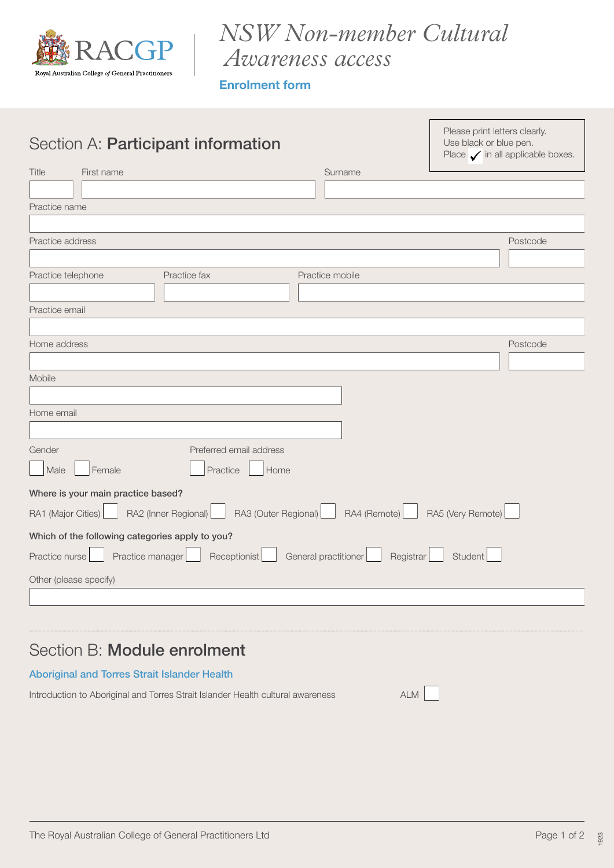

# *NSW Non-member Cultural Awareness access*

Enrolment form

| Section A: Participant information                                                                |                 | Please print letters clearly.<br>Use black or blue pen.<br>Place $\checkmark$ in all applicable boxes. |  |  |
|---------------------------------------------------------------------------------------------------|-----------------|--------------------------------------------------------------------------------------------------------|--|--|
| Title<br>First name                                                                               | Surname         |                                                                                                        |  |  |
|                                                                                                   |                 |                                                                                                        |  |  |
| Practice name                                                                                     |                 |                                                                                                        |  |  |
|                                                                                                   |                 |                                                                                                        |  |  |
| Practice address                                                                                  |                 | Postcode                                                                                               |  |  |
|                                                                                                   |                 |                                                                                                        |  |  |
| Practice telephone<br>Practice fax                                                                | Practice mobile |                                                                                                        |  |  |
|                                                                                                   |                 |                                                                                                        |  |  |
| Practice email                                                                                    |                 |                                                                                                        |  |  |
|                                                                                                   |                 |                                                                                                        |  |  |
| Home address                                                                                      |                 | Postcode                                                                                               |  |  |
|                                                                                                   |                 |                                                                                                        |  |  |
| Mobile                                                                                            |                 |                                                                                                        |  |  |
|                                                                                                   |                 |                                                                                                        |  |  |
| Home email                                                                                        |                 |                                                                                                        |  |  |
|                                                                                                   |                 |                                                                                                        |  |  |
| Gender<br>Preferred email address                                                                 |                 |                                                                                                        |  |  |
| Male<br>Female<br>Practice<br>Home                                                                |                 |                                                                                                        |  |  |
| Where is your main practice based?                                                                |                 |                                                                                                        |  |  |
| RA3 (Outer Regional) RA4 (Remote) RA5 (Very Remote)<br>RA1 (Major Cities)<br>RA2 (Inner Regional) |                 |                                                                                                        |  |  |
| Which of the following categories apply to you?                                                   |                 |                                                                                                        |  |  |
| Practice manager Receptionist   General practitioner<br>Registrar<br>Student<br>Practice nurse    |                 |                                                                                                        |  |  |
| Other (please specify)                                                                            |                 |                                                                                                        |  |  |
|                                                                                                   |                 |                                                                                                        |  |  |
|                                                                                                   |                 |                                                                                                        |  |  |
|                                                                                                   |                 |                                                                                                        |  |  |
| $\overline{\phantom{0}}$                                                                          |                 |                                                                                                        |  |  |

# Section B: Module enrolment

#### Aboriginal and Torres Strait Islander Health

Introduction to Aboriginal and Torres Strait Islander Health cultural awareness ALM